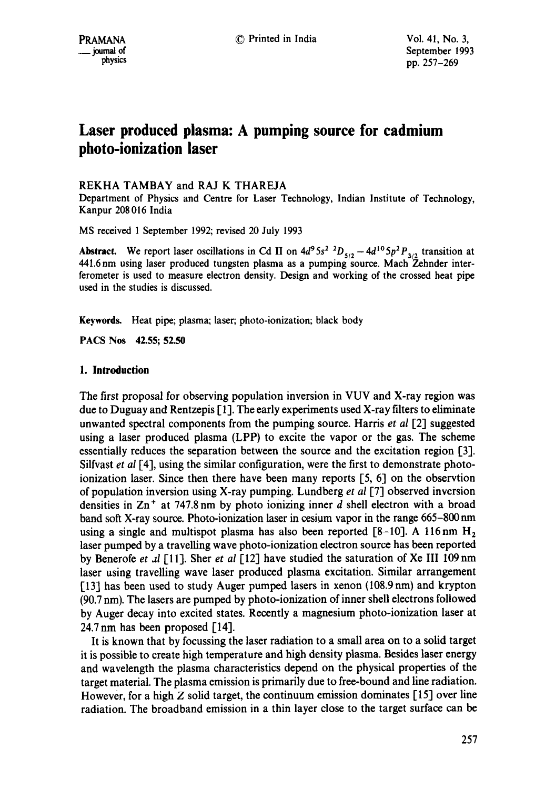# **Laser produced plasma: A pumping source for cadmium photo-ionization laser**

# REKHA TAMBAY and RAJ K THAREJA

Department of Physics and Centre for Laser Technology, Indian Institute of Technology, Kanpur 208016 India

MS received 1 September 1992; revised 20 July 1993

**Abstract.** We report laser oscillations in Cd II on  $4d^9 5s^2$  <sup>2</sup> $D_{5/2} - 4d^{10} 5p^2 P_{3/2}$  transition at 441.6nm using laser produced tungsten plasma as a pumping source. Mach Zehnder interferometer is used to measure electron density. Design and working of the crossed heat pipe used in the studies is discussed.

**Keywords.** Heat pipe; plasma; laser; photo-ionization; black body

**PACS Nos 42.55; 52.50** 

# **1. Introduction**

The first proposal for observing population inversion in VUV and X-ray region was due to Duguay and Rentzepis  $[1]$ . The early experiments used X-ray filters to eliminate unwanted spectral components from the pumping source. Harris et al [2] suggested using a laser produced plasma (LPP) to excite the vapor or the gas. The scheme essentially reduces the separation between the source and the excitation region [3]. Silfvast *et al* [4], using the similar configuration, were the first to demonstrate photoionization laser. Since then there have been many reports  $[5, 6]$  on the observtion of population inversion using X-ray pumping. Lundberg *et al* [7-1 observed inversion densities in  $\text{Zn}^+$  at 747.8 nm by photo ionizing inner d shell electron with a broad band soft X-ray source. Photo-ionization laser in cesium vapor in the range 665-800 nm using a single and multispot plasma has also been reported  $[8-10]$ . A 116nm  $H_2$ laser pumped by a travelling wave photo-ionization electron source has been reported by Benerofe *et al* [11]. Sher *et al* [12] have studied the saturation of Xe III 109 nm laser using travelling wave laser produced plasma excitation. Similar arrangement [13] has been used to study Auger pumped lasers in xenon (108.9 nm) and krypton (90.7 nm). The lasers are pumped by photo-ionization of inner shell electrons followed by Auger decay into excited states. Recently a magnesium photo-ionization laser at 24.7 nm has been proposed [14].

It is known that by focussing the laser radiation to a small area on to a solid target it is possible to create high temperature and high density plasma. Besides laser energy and wavelength the plasma characteristics depend on the physical properties of the target material. The plasma emission is primarily due to free-bound and line radiation. However, for a high  $Z$  solid target, the continuum emission dominates [15] over line radiation. The broadband emission in a thin layer close to the target surface can be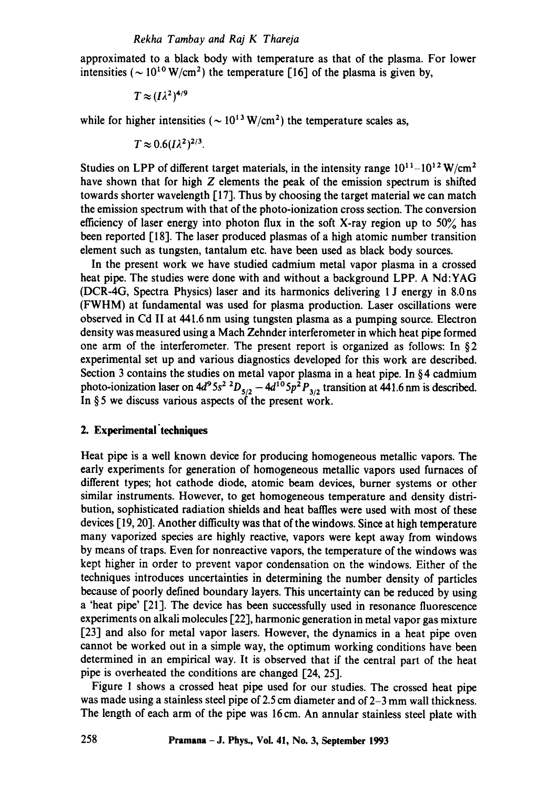approximated to a black body with temperature as that of the plasma. For lower intensities ( $\sim 10^{10}$  W/cm<sup>2</sup>) the temperature [16] of the plasma is given by,

$$
T\approx (I\lambda^2)^{4/9}
$$

while for higher intensities ( $\sim 10^{13}$  W/cm<sup>2</sup>) the temperature scales as,

$$
T\approx 0.6 (I\lambda^2)^{2/3}.
$$

Studies on LPP of different target materials, in the intensity range  $10^{11}$ - $10^{12}$  W/cm<sup>2</sup> have shown that for high Z elements the peak of the emission spectrum is shifted towards shorter wavelength [17]. Thus by choosing the target material we can match the emission spectrum with that of the photo-ionization cross section. The conversion efficiency of laser energy into photon flux in the soft X-ray region up to  $50\%$  has been reported [18]. The laser produced plasmas of a high atomic number transition element such as tungsten, tantalum etc. have been used as black body sources.

In the present work we have studied cadmium metal vapor plasma in a crossed heat pipe. The studies were done with and without a background LPP. A Nd:YAG (DCR-4G, Spectra Physics) laser and its harmonics delivering 1 J energy in 8.0 ns (FWHM) at fundamental was used for plasma production. Laser oscillations were observed in Cd II at 441.6 nm using tungsten plasma as a pumping source. Electron density was measured using a Mach Zehnder interferometer in which heat pipe formed one arm of the interferometer. The present report is organized as follows: In §2 experimental set up and various diagnostics developed for this work are described. Section 3 contains the studies on metal vapor plasma in a heat pipe. In §4 cadmium photo-ionization laser on  $4d^95s^2$   $^2D_{5/2}$  -  $4d^{10}5p^2P_{3/2}$  transition at 441.6 nm is described. In § 5 we discuss various aspects of the present work.

# **2. Experimental'techniques**

Heat pipe is a well known device for producing homogeneous metallic vapors. The early experiments for generation of homogeneous metallic vapors used furnaces of different types; hot cathode diode, atomic beam devices, burner systems or other similar instruments. However, to get homogeneous temperature and density distribution, sophisticated radiation shields and heat baffles were used with most of these devices [ 19, 20]. Another difficulty was that of the windows. Since at high temperature many vaporized species are highly reactive, vapors were kept away from windows by means of traps. Even for nonreactive vapors, the temperature of the windows was kept higher in order to prevent vapor condensation on the windows. Either of the techniques introduces uncertainties in determining the number density of particles because of poorly defined boundary layers. This uncertainty can be reduced by using a 'heat pipe' [21]. The device has been successfully used in resonance fluorescence experiments on alkali molecules [22], harmonic generation in metal vapor gas mixture [23] and also for metal vapor lasers. However, the dynamics in a heat pipe oven cannot be worked out in a simple way, the optimum working conditions have been determined in an empirical way. It is observed that if the central part of the heat pipe is overheated the conditions are changed [24, 25].

Figure 1 shows a crossed heat pipe used for our studies. The crossed heat pipe was made using a stainless steel pipe of 2.5 cm diameter and of 2–3 mm wall thickness. The length of each arm of the pipe was 16cm. An annular stainless steel plate with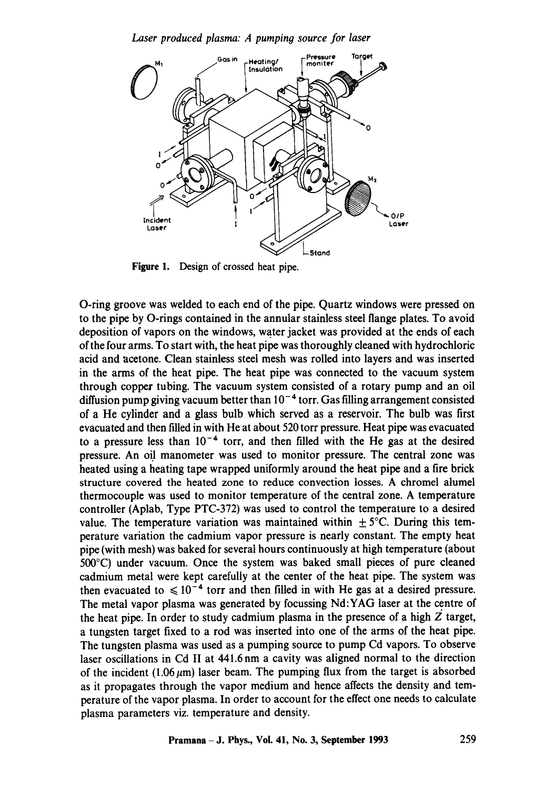*Laser produced plasma: A pumping source for laser* 



Figure I. Design of crossed heat pipe.

O-ring groove was welded to each end of the pipe. Quartz windows were pressed on to the pipe by O-rings contained in the annular stainless steel flange plates. To avoid deposition of vapors on the windows, water jacket was provided at the ends of each ofthe four arms. To start with, the heat pipe was thoroughly cleaned with hydrochloric acid and acetone. Clean stainless steel mesh was rolled into layers and was inserted in the arms of the heat pipe. The heat pipe was connected to the vacuum system through copper tubing. The vacuum system consisted of a rotary pump and an oil diffusion pump giving vacuum better than  $10^{-4}$  torr. Gas filling arrangement consisted of a He cylinder and a glass bulb which served as a reservoir. The bulb was first evacuated and then filled in with He at about 520 torr pressure. Heat pipe was evacuated to a pressure less than  $10^{-4}$  torr, and then filled with the He gas at the desired pressure. An oil manometer was used to monitor pressure. The central zone was heated using a heating tape wrapped uniformly around the heat pipe and a fire brick structure covered the heated zone to reduce convection losses. A chromel alumel thermocouple was used to monitor temperature of the central zone. A temperature controller (Aplab, Type PTC-372) was used to control the temperature to a desired value. The temperature variation was maintained within  $\pm 5^{\circ}$ C. During this temperature variation the cadmium vapor pressure is nearly constant. The empty heat pipe (with mesh) was baked for several hours continuously at high temperature (about 500°C) under vacuum. Once the system was baked small pieces of pure cleaned cadmium metal were kept carefully at the center of the heat pipe. The system was then evacuated to  $\leq 10^{-4}$  torr and then filled in with He gas at a desired pressure. The metal vapor plasma was generated by focussing Nd:YAG laser at the centre of the heat pipe. In order to study cadmium plasma in the presence of a high  $Z$  target, a tungsten target fixed to a rod was inserted into one of the arms of the heat pipe. The tungsten plasma was used as a pumping source to pump Cd vapors. To observe laser oscillations in Cd II at 441.6nm a cavity was aligned normal to the direction of the incident (1.06  $\mu$ m) laser beam. The pumping flux from the target is absorbed as it propagates through the vapor medium and hence affects the density and temperature of the vapor plasma. In order to account for the effect one needs to calculate plasma parameters viz. temperature and density.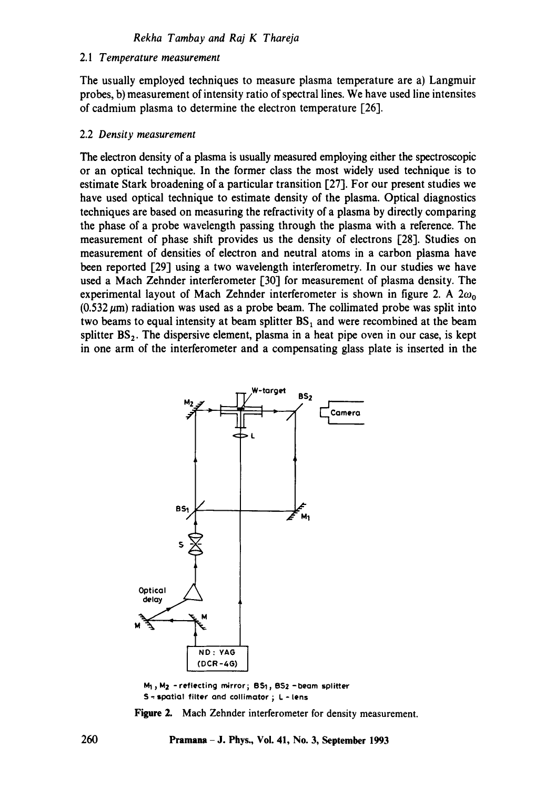#### 2.1 *Temperature measurement*

The usually employed techniques to measure plasma temperature are a) Langmuir probes, b) measurement of intensity ratio of spectral lines. We have used line intensites of cadmium plasma to determine the electron temperature [26].

#### 2.2 *Density measurement*

The electron density of a plasma is usually measured employing either the spectroscopic or an optical technique. In the former class the most widely used technique is to estimate Stark broadening of a particular transition [27]. For our present studies we have used optical technique to estimate density of the plasma. Optical diagnostics techniques are based on measuring the refractivity of a plasma by directly comparing the phase of a probe wavelength passing through the plasma with a reference. The measurement of phase shift provides us the density of electrons [28]. Studies on measurement of densities of electron and neutral atoms in a carbon plasma have been reported [29] using a two wavelength interferometry. In our studies we have used a Mach Zehnder interferometer 130] for measurement of plasma density. The experimental layout of Mach Zehnder interferometer is shown in figure 2. A  $2\omega_0$  $(0.532 \,\mu\text{m})$  radiation was used as a probe beam. The collimated probe was split into two beams to equal intensity at beam splitter  $BS_1$  and were recombined at the beam splitter  $BS_2$ . The dispersive element, plasma in a heat pipe oven in our case, is kept in one arm of the interferometer and a compensating glass plate is inserted in the



 $M_1$ ,  $M_2$  -reflecting mirror; BS1, BS2 -beam splitter S - spatial filter and collimator ; L - lens

Figure 2. Mach Zehnder interferometer for density measurement.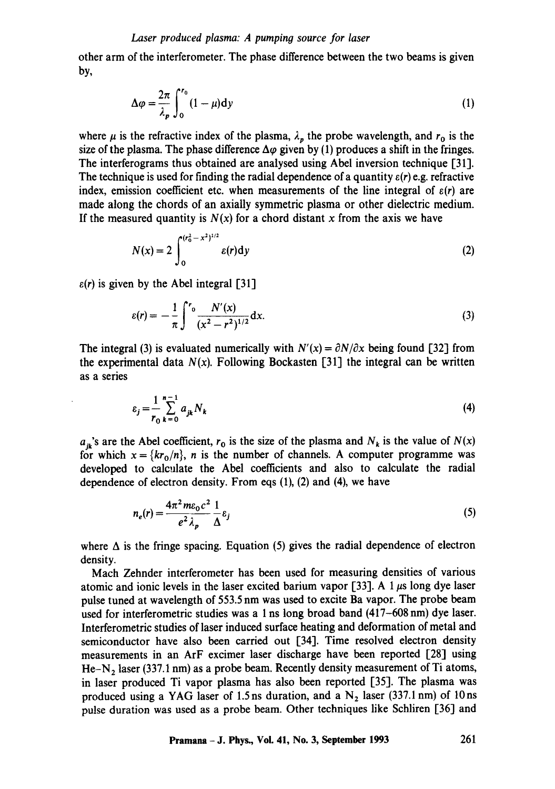other arm of the interferometer. The phase difference between the two beams is given by,

$$
\Delta \varphi = \frac{2\pi}{\lambda_p} \int_0^{r_0} (1 - \mu) dy
$$
 (1)

where  $\mu$  is the refractive index of the plasma,  $\lambda_p$  the probe wavelength, and  $r_0$  is the size of the plasma. The phase difference  $\Delta\varphi$  given by (1) produces a shift in the fringes. The interferograms thus obtained are analysed using Abel inversion technique [31]. The technique is used for finding the radial dependence of a quantity *e(r)* e.g. refractive index, emission coefficient etc. when measurements of the line integral of  $\varepsilon(r)$  are made along the chords of an axially symmetric plasma or other dielectric medium. If the measured quantity is  $N(x)$  for a chord distant x from the axis we have

$$
N(x) = 2 \int_0^{(r_0^2 - x^2)^{1/2}} \varepsilon(r) dy
$$
 (2)

 $\varepsilon(r)$  is given by the Abel integral [31]

$$
\varepsilon(r) = -\frac{1}{\pi} \int^{r_0} \frac{N'(x)}{(x^2 - r^2)^{1/2}} dx.
$$
 (3)

The integral (3) is evaluated numerically with  $N'(x) = \partial N/\partial x$  being found [32] from the experimental data  $N(x)$ . Following Bockasten [31] the integral can be written as a series

$$
\varepsilon_{j} = \frac{1}{r_{0}} \sum_{k=0}^{n-1} a_{jk} N_{k}
$$
 (4)

 $a_{ik}$ 's are the Abel coefficient,  $r_0$  is the size of the plasma and  $N_k$  is the value of  $N(x)$ for which  $x = \{kr_0/n\}$ , *n* is the number of channels. A computer programme was developed to calculate the Abel coefficients and also to calculate the radial dependence of electron density. From eqs (1), (2) and (4), we have

$$
n_e(r) = \frac{4\pi^2 m \varepsilon_0 c^2}{e^2 \lambda_p} \frac{1}{\Delta} \varepsilon_j
$$
 (5)

where  $\Delta$  is the fringe spacing. Equation (5) gives the radial dependence of electron density.

Mach Zehnder interferometer has been used for measuring densities of various atomic and ionic levels in the laser excited barium vapor [33]. A 1  $\mu$ s long dye laser pulse tuned at wavelength of 553.5 nm was used to excite Ba vapor. The probe beam used for interferometric studies was a 1 ns long broad band (417-608 nm) dye laser. Interferometric studies of laser induced surface heating and deformation of metal and semiconductor have also been carried out [34]. Time resolved electron density measurements in an ArF excimer laser discharge have been reported [28] using He-N<sub>2</sub> laser (337.1 nm) as a probe beam. Recently density measurement of Ti atoms, in laser produced Ti vapor plasma has also been reported [35]. The plasma was produced using a YAG laser of 1.5 ns duration, and a  $N_2$  laser (337.1 nm) of 10 ns pulse duration was used as a probe beam. Other techniques like Schliren [36] and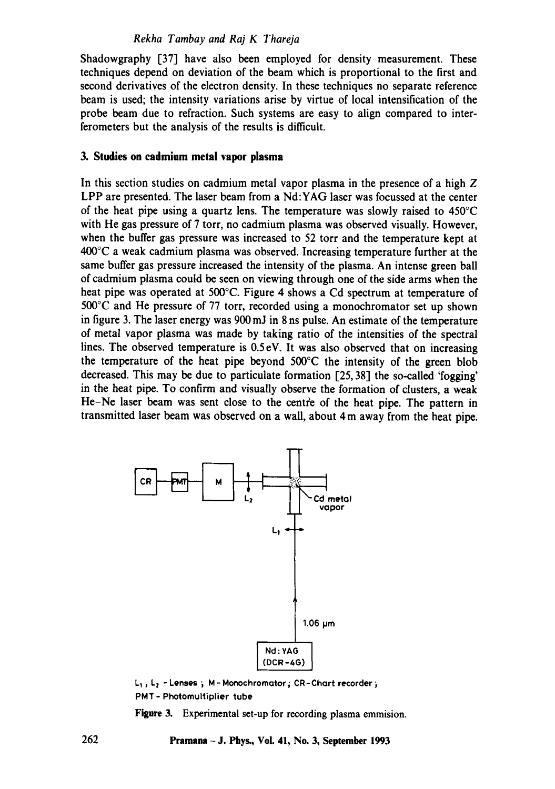## *Rekha Tambay and Raj K Thareja*

Shadowgraphy [37] have also been employed for density measurement. These techniques depend on deviation of the beam which is proportional to the first and second derivatives of the electron density. In these techniques no separate reference beam is used; the intensity variations arise by virtue of local intensification of the probe beam due to refraction. Such systems are easy to align compared to interferometers but the analysis of the results is difficult.

## **3. Studies on cadmium metal vapor plasma**

In this section studies on cadmium metal vapor plasma in the presence of a high  $Z$ LPP are presented. The laser beam from a Nd:YAG laser was focussed at the center of the heat pipe using a quartz lens. The temperature was slowly raised to 450°C with He gas pressure of 7 torr, no cadmium plasma was observed visually. However, when the buffer gas pressure was increased to 52 torr and the temperature kept at 400°C a weak cadmium plasma was observed. Increasing temperature further at the same buffer gas pressure increased the intensity of the plasma. An intense green ball of cadmium plasma could be seen on viewing through one of the side arms when the heat pipe was operated at 500°C. Figure 4 shows a Cd spectrum at temperature of 500°C and He pressure of 77 torr, recorded using a monochromator set up shown in figure 3. The laser energy was 900 mJ in 8 ns pulse. An estimate of the temperature of metal vapor plasma was made by taking ratio of the intensities of the spectral lines. The observed temperature is 0.5 eV. It was also observed that on increasing the temperature of the heat pipe beyond 500°C the intensity of the green blob decreased. This may be due to particulate formation [25, 38] the so-called 'fogging' in the heat pipe. To confirm and visually observe the formation of dusters, a weak He-Ne laser beam was sent close to the centre of the heat pipe. The pattern in transmitted laser beam was observed on a wall, about 4 m away from the heat pipe.



 $L_1$ ,  $L_2$  - Lenses; M - Monochromator; CR-Chart recorder; PMT- Photomultiplier tube

**Figure** 3. Experimental set-up for recording plasma emmision.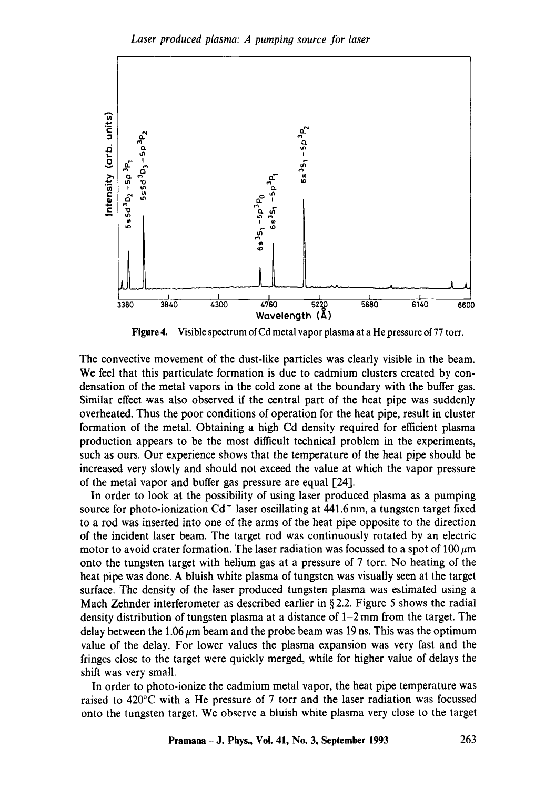

**Figure 4.**  Visible spectrum of Cd metal vapor plasma at a He pressure of 77 torr.

The convective movement of the dust-like particles was clearly visible in the beam. We feel that this particulate formation is due to cadmium clusters created by condensation of the metal vapors in the cold zone at the boundary with the buffer gas. Similar effect was also observed if the central part of the heat pipe was suddenly overheated. Thus the poor conditions of operation for the heat pipe, result in cluster formation of the metal. Obtaining a high Cd density required for efficient plasma production appears to be the most difficult technical problem in the experiments, such as ours. Our experience shows that the temperature of the heat pipe should be increased very slowly and should not exceed the value at which the vapor pressure of the metal vapor and buffer gas pressure are equal [24].

In order to look at the possibility of using laser produced plasma as a pumping source for photo-ionization  $Cd^+$  laser oscillating at 441.6 nm, a tungsten target fixed to a rod was inserted into one of the arms of the heat pipe opposite to the direction of the incident laser beam. The target rod was continuously rotated by an electric motor to avoid crater formation. The laser radiation was focussed to a spot of 100  $\mu$ m onto the tungsten target with helium gas at a pressure of 7 torr. No heating of the heat pipe was done. A bluish white plasma of tungsten was visually seen at the target surface. The density of the laser produced tungsten plasma was estimated using a Mach Zehnder interferometer as described earlier in §2.2. Figure 5 shows the radial density distribution of tungsten plasma at a distance of 1-2 mm from the target. The delay between the 1.06  $\mu$ m beam and the probe beam was 19 ns. This was the optimum value of the delay. For lower values the plasma expansion was very fast and the fringes close to the target were quickly merged, while for higher value of delays the shift was very small.

In order to photo-ionize the cadmium metal vapor, the heat pipe temperature was raised to 420°C with a He pressure of 7 torr and the laser radiation was focussed onto the tungsten target. We observe a bluish white plasma very close to the target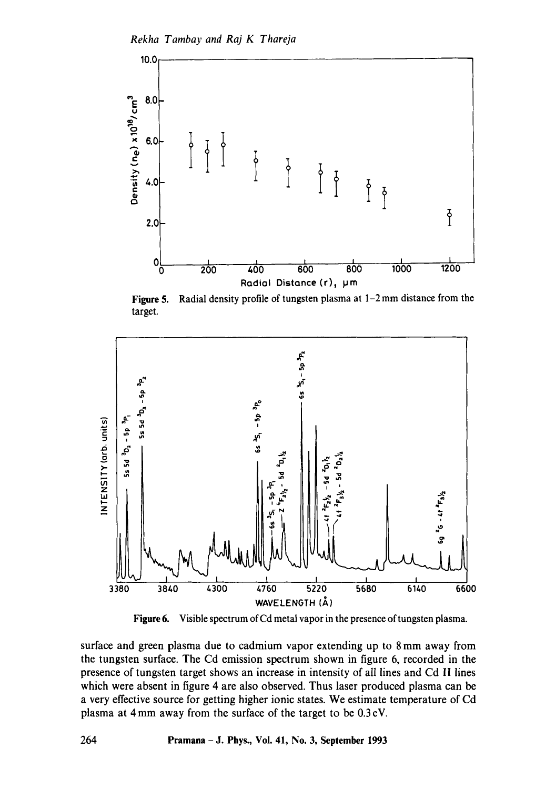

Figure 5. Radial density profile of tungsten plasma at 1–2 mm distance from the target.



Figure 6. Visible spectrum of Cd metal vapor in the presence of tungsten plasma.

surface and green plasma due to cadmium vapor extending up to 8 mm away from the tungsten surface. The Cd emission spectrum shown in figure 6, recorded in the presence of tungsten target shows an increase in intensity of all lines and Cd II lines which were absent in figure 4 are also observed. Thus laser produced plasma can be a very effective source for getting higher ionic states. We estimate temperature of Cd plasma at 4 mm away from the surface of the target to be 0.3 eV.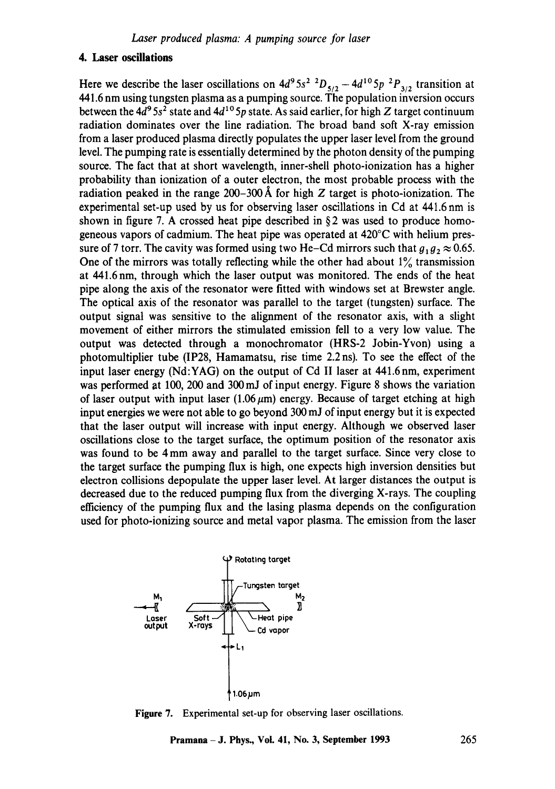## **4. Laser oscillations**

Here we describe the laser oscillations on  $4d^95s^2$   ${}^2D_{5/2} - 4d^{10}5p~{}^2P_{3/2}$  transition at 441.6 nm using tungsten plasma as a pumping source. The population inversion occurs between the  $4d^9 5s^2$  state and  $4d^{10} 5p$  state. As said earlier, for high Z target continuum radiation dominates over the line radiation. The broad band soft X-ray emission from a laser produced plasma directly populates the upper laser level from the ground level. The pumping rate is essentially determined by the photon density of the pumping source. The fact that at short wavelength, inner-shell photo-ionization has a higher probability than ionization of a outer electron, the most probable process with the radiation peaked in the range 200–300 Å for high Z target is photo-ionization. The experimental set-up used by us for observing laser oscillations in Cd at 441.6 nm is shown in figure 7. A crossed heat pipe described in  $\S 2$  was used to produce homogeneous vapors of cadmium. The heat pipe was operated at 420°C with helium pressure of 7 torr. The cavity was formed using two He-Cd mirrors such that  $g_1 g_2 \approx 0.65$ . One of the mirrors was totally reflecting while the other had about  $1\%$  transmission at 441.6 nm, through which the laser output was monitored. The ends of the heat pipe along the axis of the resonator were fitted with windows set at Brewster angle. The optical axis of the resonator was parallel to the target (tungsten) surface. The output signal was sensitive to the alignment of the resonator axis, with a slight movement of either mirrors the stimulated emission fell to a very low value. The output was detected through a monochromator (HRS-2 Jobin-Yvon) using a photomultiplier tube (IP28, Hamamatsu, rise time 2.2 ns). To see the effect of the input laser energy (Nd:YAG) on the output of Cd II laser at 44t.6nm, experiment was performed at 100, 200 and 300 mJ of input energy. Figure 8 shows the variation of laser output with input laser  $(1.06~\mu m)$  energy. Because of target etching at high input energies we were not able to go beyond 300 mJ of input energy but it is expected that the laser output will increase with input energy. Although we observed laser oscillations close to the target surface, the optimum position of the resonator axis was found to be 4 mm away and parallel to the target surface. Since very close to the target surface the pumping flux is high, one expects high inversion densities but electron collisions depopulate the upper laser level. At larger distances the output is decreased due to the reduced pumping flux from the diverging X-rays. The coupling efficiency of the pumping flux and the lasing plasma depends on the configuration used for photo-ionizing source and metal vapor plasma. The emission from the laser



Figure 7. Experimental set-up for observing laser oscillations.

**Pramana** - J. Phys., Vol. 41, No. 3, September 1993 265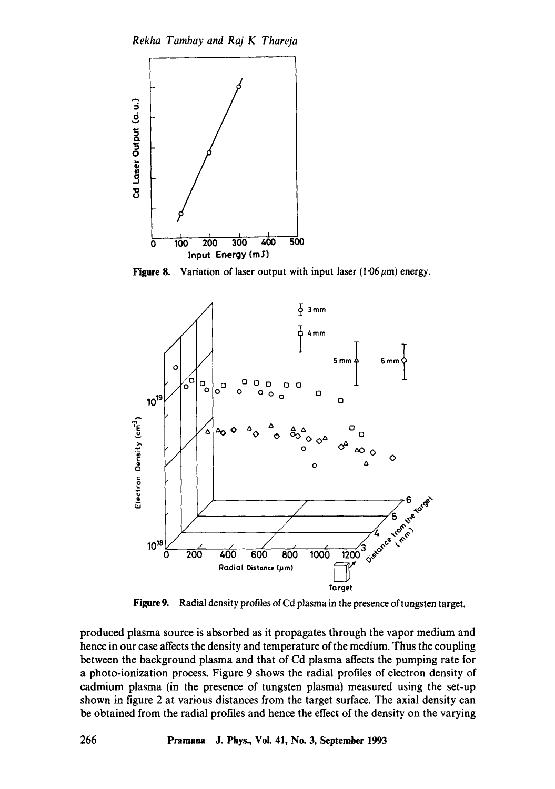*Rekha Tambay and Raj K Thareja* 



**Figure 8.** Variation of laser output with input laser  $(1.06 \,\mu m)$  energy.



**Figure 9.**  Radial density profiles of Cd plasma in the presence of tungsten target.

produced plasma source is absorbed as it propagates through the vapor medium and hence in our case affects the density and temperature of the medium. Thus the coupling between the background plasma and that of Cd plasma affects the pumping rate for **a** photo-ionization process. Figure 9 shows the radial profiles of electron density of cadmium plasma (in the presence of tungsten plasma) measured using the set-up shown in figure 2 at various distances from the target surface. The axial density can be obtained from the radial profiles and hence the effect of the density on the varying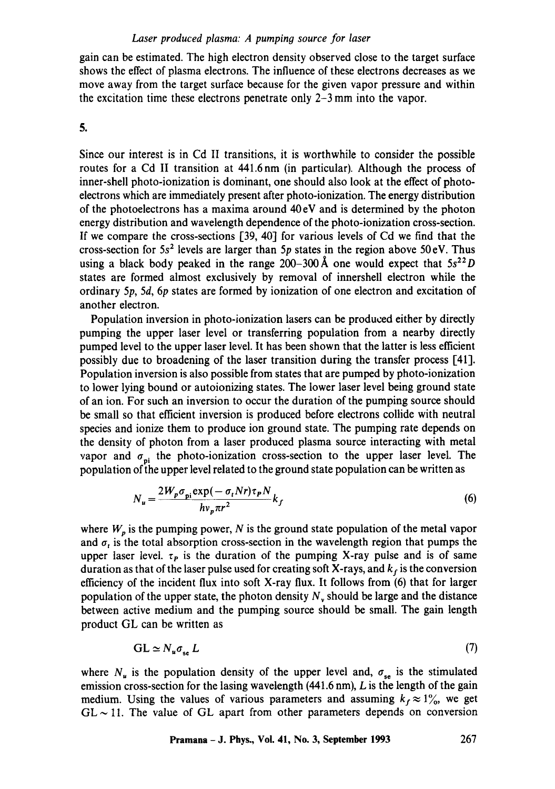## Laser produced plasma: A pumping source for laser

gain can be estimated. The high electron density observed close to the target surface shows the effect of plasma electrons. The influence of these electrons decreases as we move away from the target surface because for the given vapor pressure and within the excitation time these electrons penetrate only 2-3 mm into the vapor.

**.** 

Since our interest is in Cd II transitions, it is worthwhile to consider the possible routes for a Cd II transition at 441.6nm (in particular). Although the process of inner-shell photo-ionization is dominant, one should also look at the effect of photoelectrons which are immediately present after photo-ionization. The energy distribution of the photoelectrons has a maxima around  $40 \text{ eV}$  and is determined by the photon energy distribution and wavelength dependence of the photo-ionization cross-section. If we compare the cross-sections [39, 40] for various levels of Cd we find that the cross-section for  $5s^2$  levels are larger than  $5p$  states in the region above  $50 \text{ eV}$ . Thus using a black body peaked in the range 200-300 Å one would expect that  $5s^{22}D$ states are formed almost exclusively by removal of innershell electron while the ordinary 5p, 5d, 6p states are formed by ionization of one electron and excitation of another electron.

Population inversion in photo-ionization lasers can be produced either by directly pumping the upper laser level or transferring population from a nearby directly pumped level to the upper laser level. It has been shown that the latter is less efficient possibly due to broadening of the laser transition during the transfer process [411. Population inversion is also possible from states that are pumped by photo-ionization to lower lying bound or autoionizing states. The lower laser level being ground state of an ion. For such an inversion to occur the duration of the pumping source should be small so that efficient inversion is produced before electrons collide with neutral species and ionize them to produce ion ground state. The pumping rate depends on the density of photon from a laser produced plasma source interacting with metal vapor and  $\sigma_{ni}$  the photo-ionization cross-section to the upper laser level. The population of the upper level related to the ground state population can be written as

$$
N_u = \frac{2W_p \sigma_{pi} \exp(-\sigma_t N r) \tau_p N}{h v_p \pi r^2} k_f
$$
 (6)

where  $W_p$  is the pumping power, N is the ground state population of the metal vapor and  $\sigma_t$  is the total absorption cross-section in the wavelength region that pumps the upper laser level,  $\tau_p$  is the duration of the pumping X-ray pulse and is of same duration as that of the laser pulse used for creating soft X-rays, and  $k_f$  is the conversion efficiency of the incident flux into soft X-ray flux. It follows from (6) that for larger population of the upper state, the photon density  $N<sub>v</sub>$  should be large and the distance between active medium and the pumping source should be small. The gain length product GL can be written as

$$
GL \simeq N_u \sigma_{se} L \tag{7}
$$

where  $N_u$  is the population density of the upper level and,  $\sigma_{se}$  is the stimulated emission cross-section for the lasing wavelength  $(441.6 \text{ nm})$ , L is the length of the gain medium. Using the values of various parameters and assuming  $k_f \approx 1\%$ , we get  $GL \sim 11$ . The value of GL apart from other parameters depends on conversion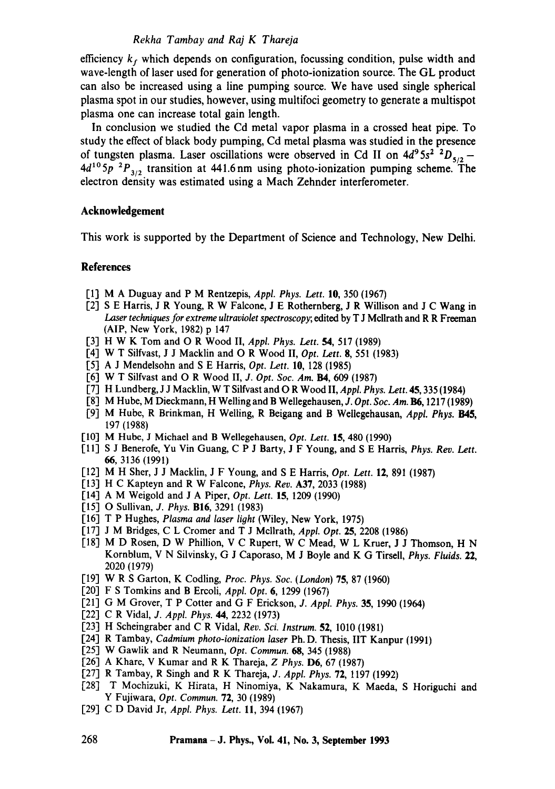#### *Rekha Tambay and Raj K Thareja*

efficiency  $k_f$  which depends on configuration, focussing condition, pulse width and wave-length of laser used for generation of photo-ionization source. The GL product can also be increased using a line pumping source. We have used single spherical plasma spot in our studies, however, using multifoci geometry to generate a multispot plasma one can increase total gain length.

In conclusion we studied the Cd metal vapor plasma in a crossed heat pipe. To study the effect of black body pumping, Cd metal plasma was studied in the presence of tungsten plasma. Laser oscillations were observed in Cd II on  $4d^95s^2$   $^2D_{5/2}$  - $4d^{10}5p^{2}P_{3/2}$  transition at 441.6 nm using photo-ionization pumping scheme. The electron density was estimated using a Mach Zehnder interferometer.

#### **Acknowledgement**

This work is supported by the Department of Science and Technology, New Delhi.

#### **References**

- [1] M A Duguay and P M Rentzepis, *Appl. Phys. Lett.* 10, 350 (1967)
- [2] S E Harris, J R Young, R W Falcone, J E Rothernberg, J R WiUison and J C Wang in Laser techniques for extreme ultraviolet spectroscopy; edited by T J Mcllrath and R R Freeman (AIP, New York, 1982) p 147
- [3] H W K Tom and O R Wood II, *Appl. Phys. Lett.* 54, 517 (1989)
- [4] W T Silfvast, J J Macklin and O R Wood II, *Opt. Lett.* 8, 551 (1983)
- [5] A J Mendelsohn and S E Harris, *Opt. Lett.* 10, 128 (1985)
- [6] W T Silfvast and O R Wood II, *J. Opt. Soc. Am.* **B4**, 609 (1987)
- [7] H Lundberg, J J Macklin, W T Silfvast and O R Wood II, *Appl. Phys. Lett.* 45, 335 (1984)
- [8] M Hube, M Dieckmann, H Welling and B Wellegehausen, *J. Opt. Soc. Am.* B6, 1217 (1989)
- [9] M Hube, R Brinkman, H Welling, R Beigang and B Weilegehausan, *Appf. Phys.* 1345, 197 (1988)
- [10] M Hube, J Michael and B Wellegehausen, *Opt. Lett.* 15, 480 (1990)
- [11] S J Benerofe, Yu Vin Guang, C P J Batty, J F Young, and S E Harris, *Phys. Rev. Lett.*  66, 3136 (1991)
- [12] M H Sher, J J Macklin, J F Young, and S E Harris, *Opt. Lett.* 12, 891 (1987)
- [13] H C Kapteyn and R W Falcone, *Phys. Rev.* A37, 2033 (1988)
- [14] A M Weigold and J A Piper, *Opt. Lett.* 15, 1209 (1990)
- [15] O Sullivan, *J. Phys.* B16, 3291 (1983)
- [16] T P Hughes, *Plasma and laser light* (Wiley, New York, 1975)
- [17] J M Bridges, C L Cromer and T J Mcllrath, *Appl. Opt.* 25, 2208 (1986)
- [18] M D Rosen, D W Phillion, V C Rupert, W C Mead, W L Kruer, J J Thomson, H N Kornblum, V N Silvinsky, G J Caporaso, M J Boyle and K G Tirsell, *Phys. Fluids.* **22,**  2020 (1979)
- [19] W R S Garton, K Codling, *Proc. Phys. Soc. (London)* 75, 87 (1960)
- [20] F S Tomkins and B Ercoli, *Appl. Opt.* 6, 1299 (1967)
- [21] G M Grover, T P Cotter and G F Erickson, *J. Appl. Phys.* 35, 1990 (1964)
- [22] C R Vidal, *J. Appl. Phys.* 44, 2232 (1973)
- [23] H Scheingraber and C R Vidal, *Rev. Sci. Instrum.* 52, 1010 (1981)
- [24] R Tambay, *Cadmium photo-ionization laser* Ph.D. Thesis, IIT Kanpur (1991)
- [25] W Gawlik and R Neumann, *Opt. Commun.* 68, 345 (1988)
- [26] A Khare, V Kumar and R K Thareja, *Z Phys.* D6, 67 (1987)
- [27] R Tambay, R Singh and R K Thareja, *J. Appl. Phys.* 72, 1197 (1992)
- [28] T Mochizuki, K Hirata, H Ninomiya, K Nakamura, K Maeda, S Horiguchi and Y Fujiwara, *Opt. Commun.* 72, 30 (1989)
- [29] C D David Jr, *Appl. Phys. Lett.* ll, 394 (1967)